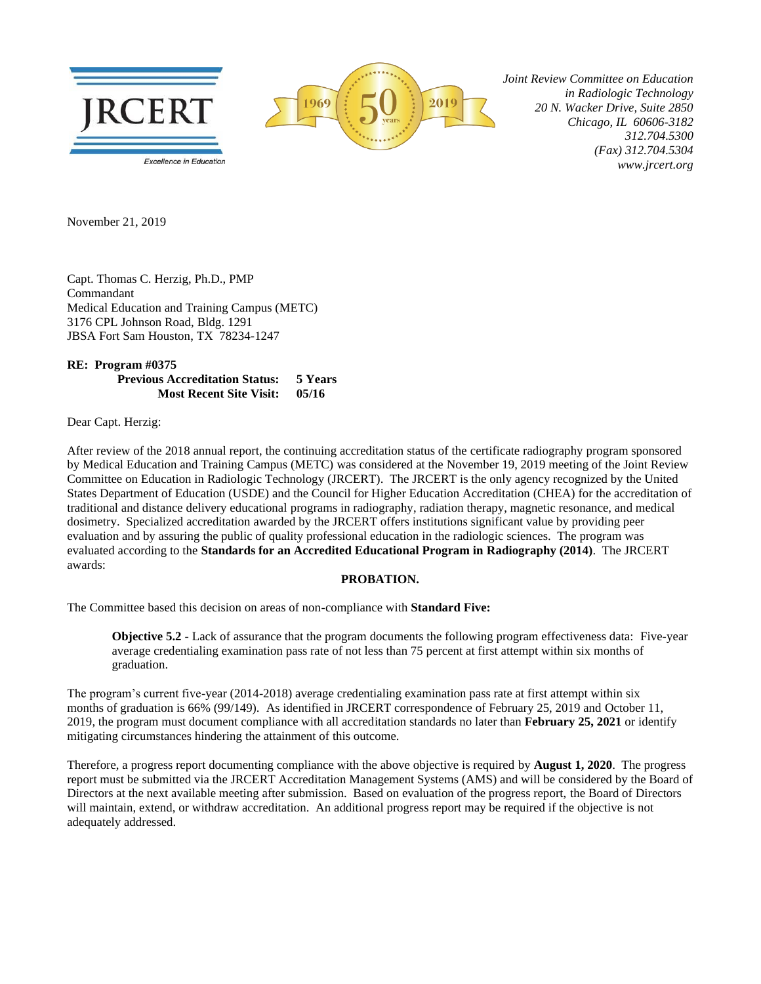

 *Joint Review Committee on Education in Radiologic Technology 20 N. Wacker Drive, Suite 2850 Chicago, IL 60606-3182 312.704.5300 (Fax) 312.704.5304 www.jrcert.org*

November 21, 2019

Capt. Thomas C. Herzig, Ph.D., PMP Commandant Medical Education and Training Campus (METC) 3176 CPL Johnson Road, Bldg. 1291 JBSA Fort Sam Houston, TX 78234-1247

**RE: Program #0375 Previous Accreditation Status: 5 Years Most Recent Site Visit: 05/16**

Dear Capt. Herzig:

After review of the 2018 annual report, the continuing accreditation status of the certificate radiography program sponsored by Medical Education and Training Campus (METC) was considered at the November 19, 2019 meeting of the Joint Review Committee on Education in Radiologic Technology (JRCERT). The JRCERT is the only agency recognized by the United States Department of Education (USDE) and the Council for Higher Education Accreditation (CHEA) for the accreditation of traditional and distance delivery educational programs in radiography, radiation therapy, magnetic resonance, and medical dosimetry. Specialized accreditation awarded by the JRCERT offers institutions significant value by providing peer evaluation and by assuring the public of quality professional education in the radiologic sciences. The program was evaluated according to the **Standards for an Accredited Educational Program in Radiography (2014)**. The JRCERT awards:

2019

## **PROBATION.**

The Committee based this decision on areas of non-compliance with **Standard Five:**

**Objective 5.2** - Lack of assurance that the program documents the following program effectiveness data: Five-year average credentialing examination pass rate of not less than 75 percent at first attempt within six months of graduation.

The program's current five-year (2014-2018) average credentialing examination pass rate at first attempt within six months of graduation is 66% (99/149). As identified in JRCERT correspondence of February 25, 2019 and October 11, 2019, the program must document compliance with all accreditation standards no later than **February 25, 2021** or identify mitigating circumstances hindering the attainment of this outcome.

Therefore, a progress report documenting compliance with the above objective is required by **August 1, 2020**. The progress report must be submitted via the JRCERT Accreditation Management Systems (AMS) and will be considered by the Board of Directors at the next available meeting after submission. Based on evaluation of the progress report, the Board of Directors will maintain, extend, or withdraw accreditation. An additional progress report may be required if the objective is not adequately addressed.